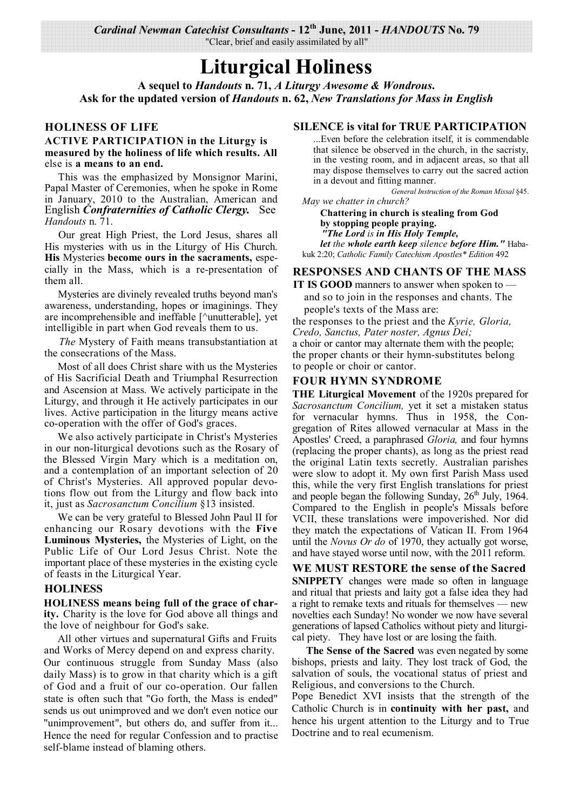*Cardinal Newman Catechist Consultants* **- 12th June, 2011 -** *HANDOUTS* **No. 79**  "Clear, brief and easily assimilated by all"

## **Liturgical Holiness**

**A sequel to** *Handouts* **n. 71,** *A Liturgy Awesome & Wondrous***. Ask for the updated version of** *Handouts* **n. 62,** *New Translations for Mass in English*

#### **HOLINESS OF LIFE**

#### **ACTIVE PARTICIPATION in the Liturgy is measured by the holiness of life which results. All**  else is **a means to an end.**

This was the emphasized by Monsignor Marini, Papal Master of Ceremonies, when he spoke in Rome in January, 2010 to the Australian, American and English *Confraternities of Catholic Clergy.* See *Handouts* n. 71.

Our great High Priest, the Lord Jesus, shares all His mysteries with us in the Liturgy of His Church. **His** Mysteries **become ours in the sacraments,** especially in the Mass, which is a re-presentation of them all.

Mysteries are divinely revealed truths beyond man's awareness, understanding, hopes or imaginings. They are incomprehensible and ineffable [^unutterable], yet intelligible in part when God reveals them to us.

*The* Mystery of Faith means transubstantiation at the consecrations of the Mass.

Most of all does Christ share with us the Mysteries of His Sacrificial Death and Triumphal Resurrection and Ascension at Mass. We actively participate in the Liturgy, and through it He actively participates in our lives. Active participation in the liturgy means active co-operation with the offer of God's graces.

We also actively participate in Christ's Mysteries in our non-liturgical devotions such as the Rosary of the Blessed Virgin Mary which is a meditation on, and a contemplation of an important selection of 20 of Christ's Mysteries. All approved popular devotions flow out from the Liturgy and flow back into it, just as *Sacrosanctum Concilium* §13 insisted.

We can be very grateful to Blessed John Paul II for enhancing our Rosary devotions with the **Five Luminous Mysteries,** the Mysteries of Light, on the Public Life of Our Lord Jesus Christ. Note the important place of these mysteries in the existing cycle of feasts in the Liturgical Year.

#### **HOLINESS**

**HOLINESS means being full of the grace of charity.** Charity is the love for God above all things and the love of neighbour for God's sake.

All other virtues and supernatural Gifts and Fruits and Works of Mercy depend on and express charity. Our continuous struggle from Sunday Mass (also daily Mass) is to grow in that charity which is a gift of God and a fruit of our co-operation. Our fallen state is often such that "Go forth, the Mass is ended" sends us out unimproved and we don't even notice our "unimprovement", but others do, and suffer from it... Hence the need for regular Confession and to practise self-blame instead of blaming others.

#### **SILENCE is vital for TRUE PARTICIPATION**

...Even before the celebration itself, it is commendable that silence be observed in the church, in the sacristy, in the vesting room, and in adjacent areas, so that all may dispose themselves to carry out the sacred action in a devout and fitting manner.

*General Instruction of the Roman Missal* §45. *May we chatter in church?*

**Chattering in church is stealing from God by stopping people praying.** *"The Lord is in His Holy Temple, let the whole earth keep silence before Him."* Habakuk 2:20; *Catholic Family Catechism Apostles\* Edition* 492

#### **RESPONSES AND CHANTS OF THE MASS**

**IT IS GOOD** manners to answer when spoken to and so to join in the responses and chants. The people's texts of the Mass are:

the responses to the priest and the *Kyrie, Gloria, Credo, Sanctus, Pater noster, Agnus Dei;* a choir or cantor may alternate them with the people; the proper chants or their hymn-substitutes belong to people or choir or cantor.

#### **FOUR HYMN SYNDROME**

**THE Liturgical Movement** of the 1920s prepared for *Sacrosanctum Concilium,* yet it set a mistaken status for vernacular hymns. Thus in 1958, the Congregation of Rites allowed vernacular at Mass in the Apostles' Creed, a paraphrased *Gloria,* and four hymns (replacing the proper chants), as long as the priest read the original Latin texts secretly. Australian parishes were slow to adopt it. My own first Parish Mass used this, while the very first English translations for priest and people began the following Sunday,  $26<sup>th</sup>$  July, 1964. Compared to the English in people's Missals before VCII, these translations were impoverished. Nor did they match the expectations of Vatican II. From 1964 until the *Novus Or do* of 1970, they actually got worse, and have stayed worse until now, with the 2011 reform.

**WE MUST RESTORE the sense of the Sacred SNIPPETY** changes were made so often in language and ritual that priests and laity got a false idea they had a right to remake texts and rituals for themselves — new novelties each Sunday! No wonder we now have several generations of lapsed Catholics without piety and liturgical piety. They have lost or are losing the faith.

**The Sense of the Sacred** was even negated by some bishops, priests and laity. They lost track of God, the salvation of souls, the vocational status of priest and Religious, and conversions to the Church.

Pope Benedict XVI insists that the strength of the Catholic Church is in **continuity with her past,** and hence his urgent attention to the Liturgy and to True Doctrine and to real ecumenism.